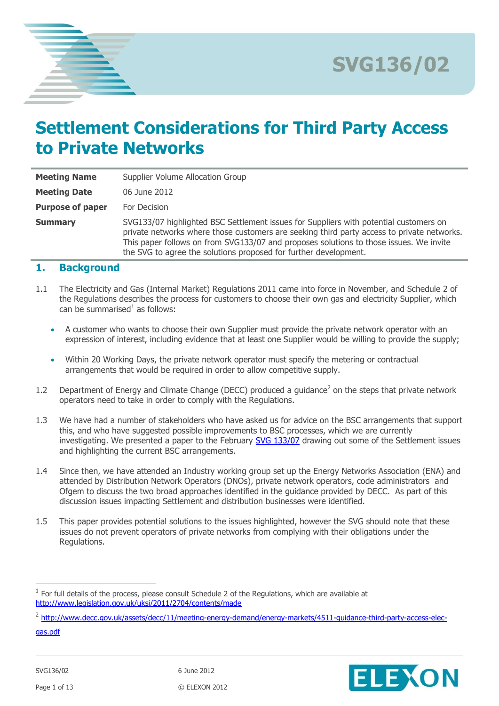

# **Settlement Considerations for Third Party Access to Private Networks**

| <b>Meeting Name</b>     | Supplier Volume Allocation Group                                                                                                                                                                                                                                                                                                                  |
|-------------------------|---------------------------------------------------------------------------------------------------------------------------------------------------------------------------------------------------------------------------------------------------------------------------------------------------------------------------------------------------|
| <b>Meeting Date</b>     | 06 June 2012                                                                                                                                                                                                                                                                                                                                      |
| <b>Purpose of paper</b> | For Decision                                                                                                                                                                                                                                                                                                                                      |
| <b>Summary</b>          | SVG133/07 highlighted BSC Settlement issues for Suppliers with potential customers on<br>private networks where those customers are seeking third party access to private networks.<br>This paper follows on from SVG133/07 and proposes solutions to those issues. We invite<br>the SVG to agree the solutions proposed for further development. |

### **1. Background**

- 1.1 The Electricity and Gas (Internal Market) Regulations 2011 came into force in November, and Schedule 2 of the Regulations describes the process for customers to choose their own gas and electricity Supplier, which can be summarised $^1$  as follows:
	- A customer who wants to choose their own Supplier must provide the private network operator with an expression of interest, including evidence that at least one Supplier would be willing to provide the supply;
	- Within 20 Working Days, the private network operator must specify the metering or contractual arrangements that would be required in order to allow competitive supply.
- 1.2 [Department of Energy and Climate Change](http://www.google.co.uk/url?sa=t&rct=j&q=&esrc=s&frm=1&source=web&cd=1&ved=0CDgQFjAA&url=http%3A%2F%2Fwww.decc.gov.uk%2F&ei=CiSZT8H8FYWq8QOqq_i1Bg&usg=AFQjCNHWoGbd62_7vw4IXJbHGWUSzJGZOA) (DECC) produced a guidance<sup>2</sup> on the steps that private network operators need to take in order to comply with the Regulations.
- 1.3 We have had a number of stakeholders who have asked us for advice on the BSC arrangements that support this, and who have suggested possible improvements to BSC processes, which we are currently investigating. We presented a paper to the February [SVG 133/07](http://www.elexon.co.uk/wp-content/uploads/2012/01/SVG133_07_Third_Party_Access_to_Licence_Exempt_Distribution_Networks_v1.0.pdf) drawing out some of the Settlement issues and highlighting the current BSC arrangements.
- 1.4 Since then, we have attended an Industry working group set up the Energy Networks Association (ENA) and attended by Distribution Network Operators (DNOs), private network operators, code administrators and Ofgem to discuss the two broad approaches identified in the guidance provided by DECC. As part of this discussion issues impacting Settlement and distribution businesses were identified.
- 1.5 This paper provides potential solutions to the issues highlighted, however the SVG should note that these issues do not prevent operators of private networks from complying with their obligations under the Regulations.

<sup>&</sup>lt;sup>2</sup> [http://www.decc.gov.uk/assets/decc/11/meeting-energy-demand/energy-markets/4511-guidance-third-party-access-elec](http://www.decc.gov.uk/assets/decc/11/meeting-energy-demand/energy-markets/4511-guidance-third-party-access-elec-gas.pdf)[gas.pdf](http://www.decc.gov.uk/assets/decc/11/meeting-energy-demand/energy-markets/4511-guidance-third-party-access-elec-gas.pdf)



 $<sup>1</sup>$  For full details of the process, please consult Schedule 2 of the Regulations, which are available at</sup> <http://www.legislation.gov.uk/uksi/2011/2704/contents/made>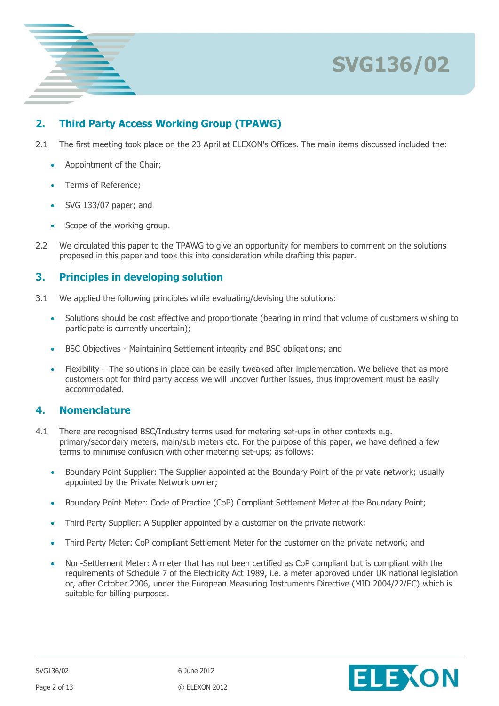

# **2. Third Party Access Working Group (TPAWG)**

- 2.1 The first meeting took place on the 23 April at ELEXON's Offices. The main items discussed included the:
	- Appointment of the Chair;
	- Terms of Reference;
	- SVG 133/07 paper; and
	- Scope of the working group.
- 2.2 We circulated this paper to the TPAWG to give an opportunity for members to comment on the solutions proposed in this paper and took this into consideration while drafting this paper.

# **3. Principles in developing solution**

- 3.1 We applied the following principles while evaluating/devising the solutions:
	- Solutions should be cost effective and proportionate (bearing in mind that volume of customers wishing to participate is currently uncertain);
	- BSC Objectives Maintaining Settlement integrity and BSC obligations; and
	- Flexibility The solutions in place can be easily tweaked after implementation. We believe that as more customers opt for third party access we will uncover further issues, thus improvement must be easily accommodated.

# **4. Nomenclature**

- 4.1 There are recognised BSC/Industry terms used for metering set-ups in other contexts e.g. primary/secondary meters, main/sub meters etc. For the purpose of this paper, we have defined a few terms to minimise confusion with other metering set-ups; as follows:
	- Boundary Point Supplier: The Supplier appointed at the Boundary Point of the private network; usually appointed by the Private Network owner;
	- Boundary Point Meter: Code of Practice (CoP) Compliant Settlement Meter at the Boundary Point;
	- Third Party Supplier: A Supplier appointed by a customer on the private network;
	- Third Party Meter: CoP compliant Settlement Meter for the customer on the private network; and
	- Non-Settlement Meter: A meter that has not been certified as CoP compliant but is compliant with the requirements of Schedule 7 of the Electricity Act 1989, i.e. a meter approved under UK national legislation or, after October 2006, under the European Measuring Instruments Directive (MID 2004/22/EC) which is suitable for billing purposes.

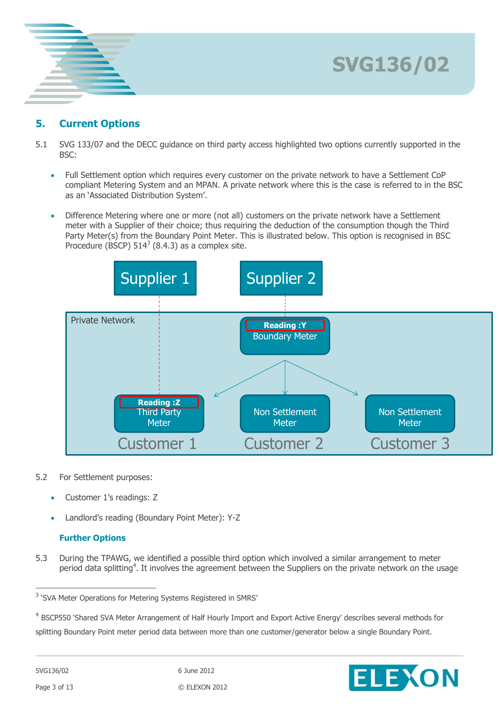

# **5. Current Options**

- 5.1 SVG 133/07 and the DECC guidance on third party access highlighted two options currently supported in the BSC:
	- Full Settlement option which requires every customer on the private network to have a Settlement CoP compliant Metering System and an MPAN. A private network where this is the case is referred to in the BSC as an 'Associated Distribution System'.
	- Difference Metering where one or more (not all) customers on the private network have a Settlement meter with a Supplier of their choice; thus requiring the deduction of the consumption though the Third Party Meter(s) from the Boundary Point Meter. This is illustrated below. This option is recognised in BSC Procedure (BSCP)  $514^3$  (8.4.3) as a complex site.



- 5.2 For Settlement purposes:
	- Customer 1's readings: Z
	- Landlord's reading (Boundary Point Meter): Y-Z

# **Further Options**

5.3 During the TPAWG, we identified a possible third option which involved a similar arrangement to meter period data splitting<sup>4</sup>. It involves the agreement between the Suppliers on the private network on the usage

<sup>4</sup> BSCP550 'Shared SVA Meter Arrangement of Half Hourly Import and Export Active Energy' describes several methods for splitting Boundary Point meter period data between more than one customer/generator below a single Boundary Point.



<sup>&</sup>lt;sup>3</sup> 'SVA Meter Operations for Metering Systems Registered in SMRS'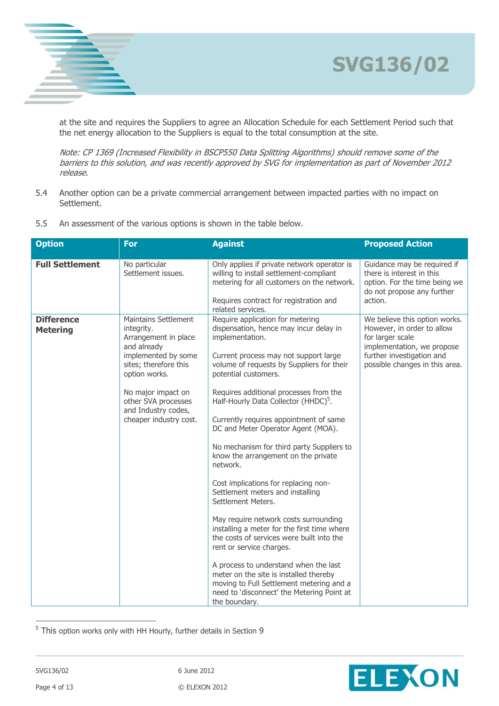



at the site and requires the Suppliers to agree an Allocation Schedule for each Settlement Period such that the net energy allocation to the Suppliers is equal to the total consumption at the site.

Note: CP 1369 (Increased Flexibility in BSCP550 Data Splitting Algorithms) should remove some of the barriers to this solution, and was recently approved by SVG for implementation as part of November 2012 release.

- 5.4 Another option can be a private commercial arrangement between impacted parties with no impact on Settlement.
- 5.5 An assessment of the various options is shown in the table below.

| <b>Option</b>                        | For                                                                                                                                                                                                                                             | <b>Against</b>                                                                                                                                                                                                                                                                                                                                                                                                                                                                                                                                                                                                                                                                                                                                                                                                                                                                                                                                             | <b>Proposed Action</b>                                                                                                                                                       |
|--------------------------------------|-------------------------------------------------------------------------------------------------------------------------------------------------------------------------------------------------------------------------------------------------|------------------------------------------------------------------------------------------------------------------------------------------------------------------------------------------------------------------------------------------------------------------------------------------------------------------------------------------------------------------------------------------------------------------------------------------------------------------------------------------------------------------------------------------------------------------------------------------------------------------------------------------------------------------------------------------------------------------------------------------------------------------------------------------------------------------------------------------------------------------------------------------------------------------------------------------------------------|------------------------------------------------------------------------------------------------------------------------------------------------------------------------------|
| <b>Full Settlement</b>               | No particular<br>Settlement issues.                                                                                                                                                                                                             | Only applies if private network operator is<br>willing to install settlement-compliant<br>metering for all customers on the network.<br>Requires contract for registration and<br>related services.                                                                                                                                                                                                                                                                                                                                                                                                                                                                                                                                                                                                                                                                                                                                                        | Guidance may be required if<br>there is interest in this<br>option. For the time being we<br>do not propose any further<br>action.                                           |
| <b>Difference</b><br><b>Metering</b> | <b>Maintains Settlement</b><br>integrity.<br>Arrangement in place<br>and already<br>implemented by some<br>sites; therefore this<br>option works.<br>No major impact on<br>other SVA processes<br>and Industry codes,<br>cheaper industry cost. | Require application for metering<br>dispensation, hence may incur delay in<br>implementation.<br>Current process may not support large<br>volume of requests by Suppliers for their<br>potential customers.<br>Requires additional processes from the<br>Half-Hourly Data Collector (HHDC) <sup>5</sup> .<br>Currently requires appointment of same<br>DC and Meter Operator Agent (MOA).<br>No mechanism for third party Suppliers to<br>know the arrangement on the private<br>network.<br>Cost implications for replacing non-<br>Settlement meters and installing<br>Settlement Meters.<br>May require network costs surrounding<br>installing a meter for the first time where<br>the costs of services were built into the<br>rent or service charges.<br>A process to understand when the last<br>meter on the site is installed thereby<br>moving to Full Settlement metering and a<br>need to 'disconnect' the Metering Point at<br>the boundary. | We believe this option works.<br>However, in order to allow<br>for larger scale<br>implementation, we propose<br>further investigation and<br>possible changes in this area. |

 $5$  This option works only with HH Hourly, further details in Section [9](#page-8-0)

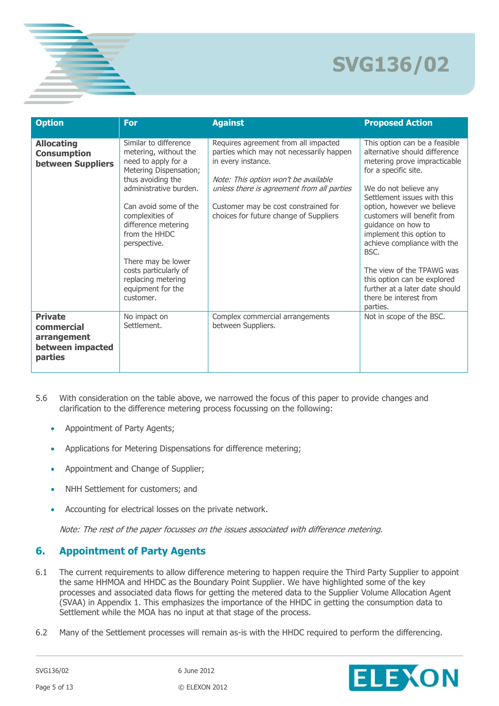| <b>Option</b>                                                              | <b>For</b>                                                                                                                                                                                                                                                                                                                                                | <b>Against</b>                                                                                                                                                                                                                                                                 | <b>Proposed Action</b>                                                                                                                                                                                                                                                                                                                                                                                                                                                   |
|----------------------------------------------------------------------------|-----------------------------------------------------------------------------------------------------------------------------------------------------------------------------------------------------------------------------------------------------------------------------------------------------------------------------------------------------------|--------------------------------------------------------------------------------------------------------------------------------------------------------------------------------------------------------------------------------------------------------------------------------|--------------------------------------------------------------------------------------------------------------------------------------------------------------------------------------------------------------------------------------------------------------------------------------------------------------------------------------------------------------------------------------------------------------------------------------------------------------------------|
| <b>Allocating</b><br><b>Consumption</b><br><b>between Suppliers</b>        | Similar to difference<br>metering, without the<br>need to apply for a<br>Metering Dispensation;<br>thus avoiding the<br>administrative burden.<br>Can avoid some of the<br>complexities of<br>difference metering<br>from the HHDC<br>perspective.<br>There may be lower<br>costs particularly of<br>replacing metering<br>equipment for the<br>customer. | Requires agreement from all impacted<br>parties which may not necessarily happen<br>in every instance.<br>Note: This option won't be available<br>unless there is agreement from all parties<br>Customer may be cost constrained for<br>choices for future change of Suppliers | This option can be a feasible<br>alternative should difference<br>metering prove impracticable<br>for a specific site.<br>We do not believe any<br>Settlement issues with this<br>option, however we believe<br>customers will benefit from<br>guidance on how to<br>implement this option to<br>achieve compliance with the<br>BSC.<br>The view of the TPAWG was<br>this option can be explored<br>further at a later date should<br>there be interest from<br>parties. |
| <b>Private</b><br>commercial<br>arrangement<br>between impacted<br>parties | No impact on<br>Settlement.                                                                                                                                                                                                                                                                                                                               | Complex commercial arrangements<br>between Suppliers.                                                                                                                                                                                                                          | Not in scope of the BSC.                                                                                                                                                                                                                                                                                                                                                                                                                                                 |

- 5.6 With consideration on the table above, we narrowed the focus of this paper to provide changes and clarification to the difference metering process focussing on the following:
	- Appointment of Party Agents;
	- Applications for Metering Dispensations for difference metering;
	- Appointment and Change of Supplier;
	- NHH Settlement for customers; and
	- Accounting for electrical losses on the private network.

Note: The rest of the paper focusses on the issues associated with difference metering.

### **6. Appointment of Party Agents**

- 6.1 The current requirements to allow difference metering to happen require the Third Party Supplier to appoint the same HHMOA and HHDC as the Boundary Point Supplier. We have highlighted some of the key processes and associated data flows for getting the metered data to the Supplier Volume Allocation Agent (SVAA) in Appendix 1. This emphasizes the importance of the HHDC in getting the consumption data to Settlement while the MOA has no input at that stage of the process.
- 6.2 Many of the Settlement processes will remain as-is with the HHDC required to perform the differencing.

SVG136/02 6 June 2012 Page 5 of 13 © ELEXON 2012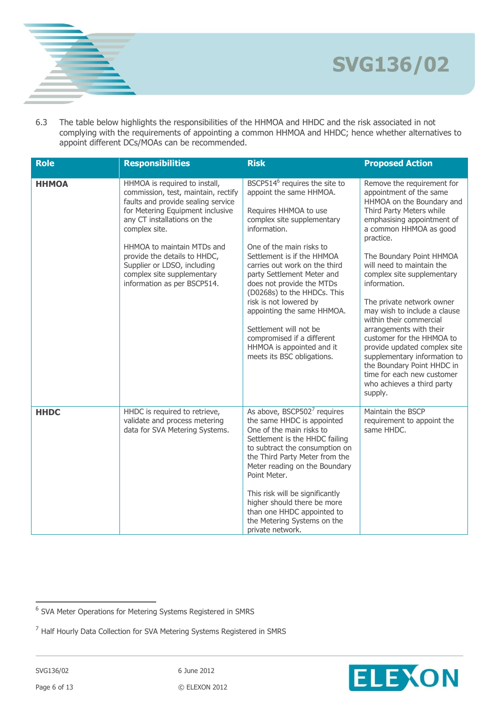

- **SVG136/02**
- 6.3 The table below highlights the responsibilities of the HHMOA and HHDC and the risk associated in not complying with the requirements of appointing a common HHMOA and HHDC; hence whether alternatives to appoint different DCs/MOAs can be recommended.

| <b>Role</b>  | <b>Responsibilities</b>                                                                                                                                                                                                                                                                                                                                  | <b>Risk</b>                                                                                                                                                                                                                                                                                                                                                                                                                                                                                                 | <b>Proposed Action</b>                                                                                                                                                                                                                                                                                                                                                                                                                                                                                                                                                                                          |
|--------------|----------------------------------------------------------------------------------------------------------------------------------------------------------------------------------------------------------------------------------------------------------------------------------------------------------------------------------------------------------|-------------------------------------------------------------------------------------------------------------------------------------------------------------------------------------------------------------------------------------------------------------------------------------------------------------------------------------------------------------------------------------------------------------------------------------------------------------------------------------------------------------|-----------------------------------------------------------------------------------------------------------------------------------------------------------------------------------------------------------------------------------------------------------------------------------------------------------------------------------------------------------------------------------------------------------------------------------------------------------------------------------------------------------------------------------------------------------------------------------------------------------------|
| <b>HHMOA</b> | HHMOA is required to install,<br>commission, test, maintain, rectify<br>faults and provide sealing service<br>for Metering Equipment inclusive<br>any CT installations on the<br>complex site.<br>HHMOA to maintain MTDs and<br>provide the details to HHDC,<br>Supplier or LDSO, including<br>complex site supplementary<br>information as per BSCP514. | BSCP514 <sup>6</sup> requires the site to<br>appoint the same HHMOA.<br>Requires HHMOA to use<br>complex site supplementary<br>information.<br>One of the main risks to<br>Settlement is if the HHMOA<br>carries out work on the third<br>party Settlement Meter and<br>does not provide the MTDs<br>(D0268s) to the HHDCs. This<br>risk is not lowered by<br>appointing the same HHMOA.<br>Settlement will not be<br>compromised if a different<br>HHMOA is appointed and it<br>meets its BSC obligations. | Remove the requirement for<br>appointment of the same<br>HHMOA on the Boundary and<br>Third Party Meters while<br>emphasising appointment of<br>a common HHMOA as good<br>practice.<br>The Boundary Point HHMOA<br>will need to maintain the<br>complex site supplementary<br>information.<br>The private network owner<br>may wish to include a clause<br>within their commercial<br>arrangements with their<br>customer for the HHMOA to<br>provide updated complex site<br>supplementary information to<br>the Boundary Point HHDC in<br>time for each new customer<br>who achieves a third party<br>supply. |
| <b>HHDC</b>  | HHDC is required to retrieve,<br>validate and process metering<br>data for SVA Metering Systems.                                                                                                                                                                                                                                                         | As above, BSCP502 <sup>7</sup> requires<br>the same HHDC is appointed<br>One of the main risks to<br>Settlement is the HHDC failing<br>to subtract the consumption on<br>the Third Party Meter from the<br>Meter reading on the Boundary<br>Point Meter.<br>This risk will be significantly<br>higher should there be more<br>than one HHDC appointed to<br>the Metering Systems on the<br>private network.                                                                                                 | Maintain the BSCP<br>requirement to appoint the<br>same HHDC.                                                                                                                                                                                                                                                                                                                                                                                                                                                                                                                                                   |



 6 SVA Meter Operations for Metering Systems Registered in SMRS

<sup>&</sup>lt;sup>7</sup> Half Hourly Data Collection for SVA Metering Systems Registered in SMRS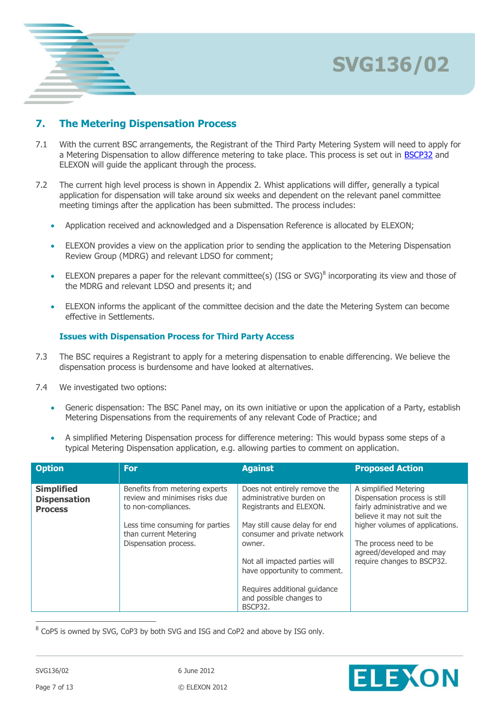

# **7. The Metering Dispensation Process**

- 7.1 With the current BSC arrangements, the Registrant of the Third Party Metering System will need to apply for a Metering Dispensation to allow difference metering to take place. This process is set out in [BSCP32](http://www.elexon.co.uk/wp-content/uploads/2011/10/bscp32_v8.0.pdf) and ELEXON will guide the applicant through the process.
- 7.2 The current high level process is shown in Appendix 2. Whist applications will differ, generally a typical application for dispensation will take around six weeks and dependent on the relevant panel committee meeting timings after the application has been submitted. The process includes:
	- Application received and acknowledged and a Dispensation Reference is allocated by ELEXON;
	- ELEXON provides a view on the application prior to sending the application to the Metering Dispensation Review Group (MDRG) and relevant LDSO for comment;
	- ELEXON prepares a paper for the relevant committee(s) (ISG or SVG) $^8$  incorporating its view and those of the MDRG and relevant LDSO and presents it; and
	- ELEXON informs the applicant of the committee decision and the date the Metering System can become effective in Settlements.

### **Issues with Dispensation Process for Third Party Access**

- 7.3 The BSC requires a Registrant to apply for a metering dispensation to enable differencing. We believe the dispensation process is burdensome and have looked at alternatives.
- 7.4 We investigated two options:
	- Generic dispensation: The BSC Panel may, on its own initiative or upon the application of a Party, establish Metering Dispensations from the requirements of any relevant Code of Practice; and
	- A simplified Metering Dispensation process for difference metering: This would bypass some steps of a typical Metering Dispensation application, e.g. allowing parties to comment on application.

| <b>Option</b>                                              | <b>For</b>                                                                              | <b>Against</b>                                                                      | <b>Proposed Action</b>                                                                                                |
|------------------------------------------------------------|-----------------------------------------------------------------------------------------|-------------------------------------------------------------------------------------|-----------------------------------------------------------------------------------------------------------------------|
| <b>Simplified</b><br><b>Dispensation</b><br><b>Process</b> | Benefits from metering experts<br>review and minimises risks due<br>to non-compliances. | Does not entirely remove the<br>administrative burden on<br>Registrants and ELEXON. | A simplified Metering<br>Dispensation process is still<br>fairly administrative and we<br>believe it may not suit the |
|                                                            | Less time consuming for parties<br>than current Metering                                | May still cause delay for end<br>consumer and private network                       | higher volumes of applications.                                                                                       |
|                                                            | Dispensation process.                                                                   | owner.                                                                              | The process need to be<br>agreed/developed and may                                                                    |
|                                                            |                                                                                         | Not all impacted parties will<br>have opportunity to comment.                       | require changes to BSCP32.                                                                                            |
|                                                            |                                                                                         | Requires additional quidance<br>and possible changes to<br>BSCP32.                  |                                                                                                                       |

 $8$  CoP5 is owned by SVG, CoP3 by both SVG and ISG and CoP2 and above by ISG only.

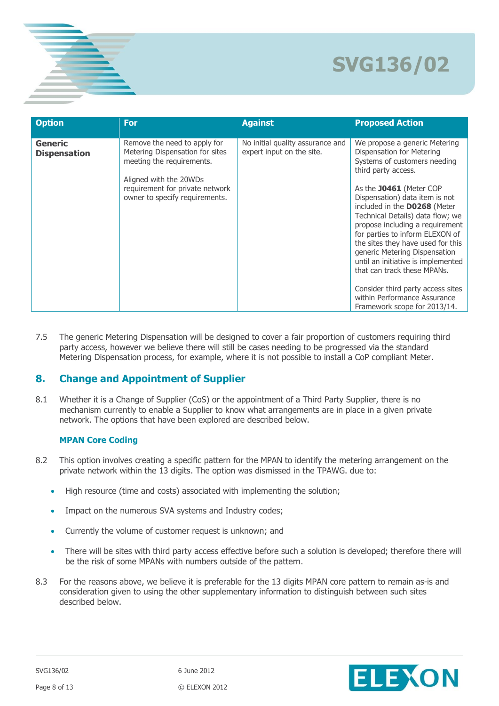

| <b>Option</b>                         | For                                                                                                                    | <b>Against</b>                                                | <b>Proposed Action</b>                                                                                                                                                                                                                                                                                                                         |
|---------------------------------------|------------------------------------------------------------------------------------------------------------------------|---------------------------------------------------------------|------------------------------------------------------------------------------------------------------------------------------------------------------------------------------------------------------------------------------------------------------------------------------------------------------------------------------------------------|
| <b>Generic</b><br><b>Dispensation</b> | Remove the need to apply for<br>Metering Dispensation for sites<br>meeting the requirements.<br>Aligned with the 20WDs | No initial quality assurance and<br>expert input on the site. | We propose a generic Metering<br>Dispensation for Metering<br>Systems of customers needing<br>third party access.                                                                                                                                                                                                                              |
|                                       | requirement for private network<br>owner to specify requirements.                                                      |                                                               | As the J0461 (Meter COP<br>Dispensation) data item is not<br>included in the D0268 (Meter<br>Technical Details) data flow; we<br>propose including a requirement<br>for parties to inform ELEXON of<br>the sites they have used for this<br>generic Metering Dispensation<br>until an initiative is implemented<br>that can track these MPANs. |
|                                       |                                                                                                                        |                                                               | Consider third party access sites<br>within Performance Assurance<br>Framework scope for 2013/14.                                                                                                                                                                                                                                              |

7.5 The generic Metering Dispensation will be designed to cover a fair proportion of customers requiring third party access, however we believe there will still be cases needing to be progressed via the standard Metering Dispensation process, for example, where it is not possible to install a CoP compliant Meter.

# **8. Change and Appointment of Supplier**

8.1 Whether it is a Change of Supplier (CoS) or the appointment of a Third Party Supplier, there is no mechanism currently to enable a Supplier to know what arrangements are in place in a given private network. The options that have been explored are described below.

### **MPAN Core Coding**

- 8.2 This option involves creating a specific pattern for the MPAN to identify the metering arrangement on the private network within the 13 digits. The option was dismissed in the TPAWG. due to:
	- High resource (time and costs) associated with implementing the solution;
	- Impact on the numerous SVA systems and Industry codes;
	- Currently the volume of customer request is unknown; and
	- There will be sites with third party access effective before such a solution is developed; therefore there will be the risk of some MPANs with numbers outside of the pattern.
- 8.3 For the reasons above, we believe it is preferable for the 13 digits MPAN core pattern to remain as-is and consideration given to using the other supplementary information to distinguish between such sites described below.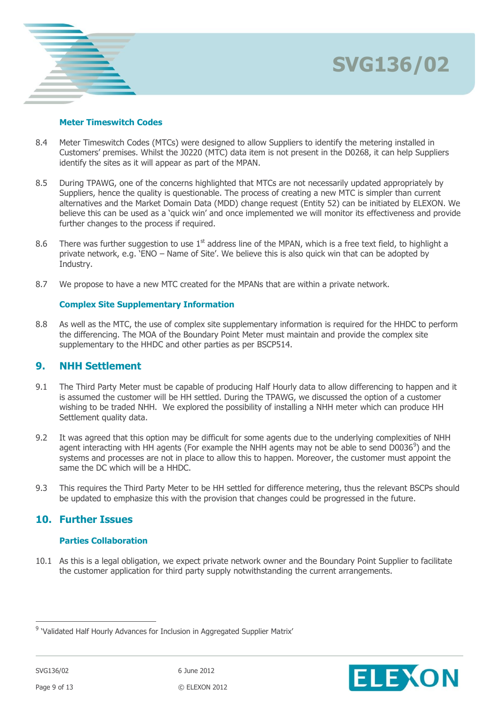

#### **Meter Timeswitch Codes**

- 8.4 Meter Timeswitch Codes (MTCs) were designed to allow Suppliers to identify the metering installed in Customers' premises. Whilst the J0220 (MTC) data item is not present in the D0268, it can help Suppliers identify the sites as it will appear as part of the MPAN.
- 8.5 During TPAWG, one of the concerns highlighted that MTCs are not necessarily updated appropriately by Suppliers, hence the quality is questionable. The process of creating a new MTC is simpler than current alternatives and the Market Domain Data (MDD) change request (Entity 52) can be initiated by ELEXON. We believe this can be used as a 'quick win' and once implemented we will monitor its effectiveness and provide further changes to the process if required.
- 8.6 There was further suggestion to use  $1<sup>st</sup>$  address line of the MPAN, which is a free text field, to highlight a private network, e.g. 'ENO – Name of Site'. We believe this is also quick win that can be adopted by Industry.
- 8.7 We propose to have a new MTC created for the MPANs that are within a private network.

### **Complex Site Supplementary Information**

8.8 As well as the MTC, the use of complex site supplementary information is required for the HHDC to perform the differencing. The MOA of the Boundary Point Meter must maintain and provide the complex site supplementary to the HHDC and other parties as per BSCP514.

# <span id="page-8-0"></span>**9. NHH Settlement**

- 9.1 The Third Party Meter must be capable of producing Half Hourly data to allow differencing to happen and it is assumed the customer will be HH settled. During the TPAWG, we discussed the option of a customer wishing to be traded NHH. We explored the possibility of installing a NHH meter which can produce HH Settlement quality data.
- 9.2 It was agreed that this option may be difficult for some agents due to the underlying complexities of NHH agent interacting with HH agents (For example the NHH agents may not be able to send D0036 $^9$ ) and the systems and processes are not in place to allow this to happen. Moreover, the customer must appoint the same the DC which will be a HHDC.
- 9.3 This requires the Third Party Meter to be HH settled for difference metering, thus the relevant BSCPs should be updated to emphasize this with the provision that changes could be progressed in the future.

# **10. Further Issues**

### **Parties Collaboration**

10.1 As this is a legal obligation, we expect private network owner and the Boundary Point Supplier to facilitate the customer application for third party supply notwithstanding the current arrangements.



<sup>&</sup>lt;sup>9</sup> 'Validated Half Hourly Advances for Inclusion in Aggregated Supplier Matrix'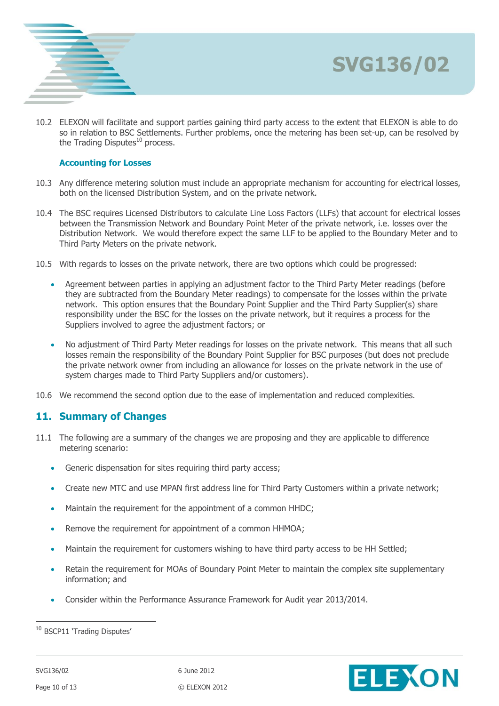

10.2 ELEXON will facilitate and support parties gaining third party access to the extent that ELEXON is able to do so in relation to BSC Settlements. Further problems, once the metering has been set-up, can be resolved by the Trading Disputes $^{10}$  process.

#### **Accounting for Losses**

- 10.3 Any difference metering solution must include an appropriate mechanism for accounting for electrical losses, both on the licensed Distribution System, and on the private network.
- 10.4 The BSC requires Licensed Distributors to calculate Line Loss Factors (LLFs) that account for electrical losses between the Transmission Network and Boundary Point Meter of the private network, i.e. losses over the Distribution Network. We would therefore expect the same LLF to be applied to the Boundary Meter and to Third Party Meters on the private network.
- 10.5 With regards to losses on the private network, there are two options which could be progressed:
	- Agreement between parties in applying an adjustment factor to the Third Party Meter readings (before they are subtracted from the Boundary Meter readings) to compensate for the losses within the private network. This option ensures that the Boundary Point Supplier and the Third Party Supplier(s) share responsibility under the BSC for the losses on the private network, but it requires a process for the Suppliers involved to agree the adjustment factors; or
	- No adjustment of Third Party Meter readings for losses on the private network. This means that all such losses remain the responsibility of the Boundary Point Supplier for BSC purposes (but does not preclude the private network owner from including an allowance for losses on the private network in the use of system charges made to Third Party Suppliers and/or customers).
- 10.6 We recommend the second option due to the ease of implementation and reduced complexities.

### **11. Summary of Changes**

- 11.1 The following are a summary of the changes we are proposing and they are applicable to difference metering scenario:
	- Generic dispensation for sites requiring third party access;
	- Create new MTC and use MPAN first address line for Third Party Customers within a private network;
	- Maintain the requirement for the appointment of a common HHDC;
	- Remove the requirement for appointment of a common HHMOA;
	- Maintain the requirement for customers wishing to have third party access to be HH Settled;
	- Retain the requirement for MOAs of Boundary Point Meter to maintain the complex site supplementary information; and
	- Consider within the Performance Assurance Framework for Audit year 2013/2014.

 $\overline{a}$ 



**SVG136/02**

<sup>&</sup>lt;sup>10</sup> BSCP11 'Trading Disputes'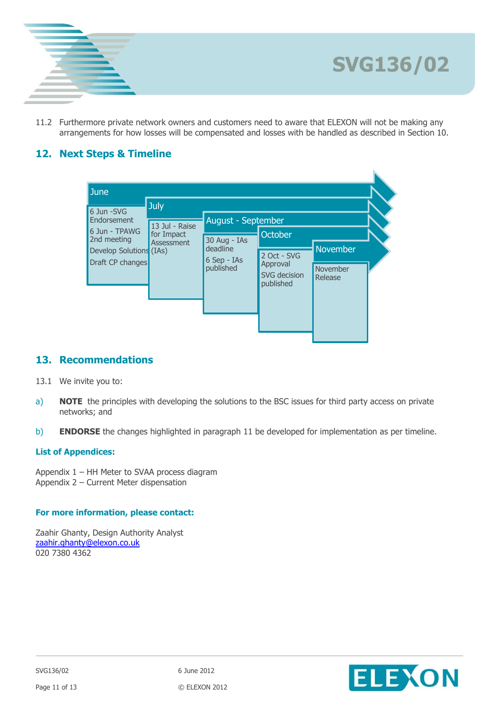

11.2 Furthermore private network owners and customers need to aware that ELEXON will not be making any arrangements for how losses will be compensated and losses with be handled as described in Section 10.

# **12. Next Steps & Timeline**

| June                                                                                                                                                                  |                                                                                   |                                                                 |                                 |
|-----------------------------------------------------------------------------------------------------------------------------------------------------------------------|-----------------------------------------------------------------------------------|-----------------------------------------------------------------|---------------------------------|
| July<br>6 Jun -SVG<br>Endorsement<br>13 Jul - Raise<br>6 Jun - TPAWG<br>for Impact<br>2nd meeting<br><b>Assessment</b><br>Develop Solutions (IAs)<br>Draft CP changes | <b>August - September</b><br>30 Aug - IAs<br>deadline<br>6 Sep - IAs<br>published | October<br>2 Oct - SVG<br>Approval<br>SVG decision<br>published | November<br>November<br>Release |

# **13. Recommendations**

- 13.1 We invite you to:
- a) **NOTE** the principles with developing the solutions to the BSC issues for third party access on private networks; and
- b) **ENDORSE** the changes highlighted in paragraph 11 be developed for implementation as per timeline.

### **List of Appendices:**

Appendix 1 – HH Meter to SVAA process diagram Appendix 2 – Current Meter dispensation

### **For more information, please contact:**

Zaahir Ghanty, Design Authority Analyst [zaahir.ghanty@elexon.co.uk](mailto:zaahir.ghanty@elexon.co.uk) 020 7380 4362

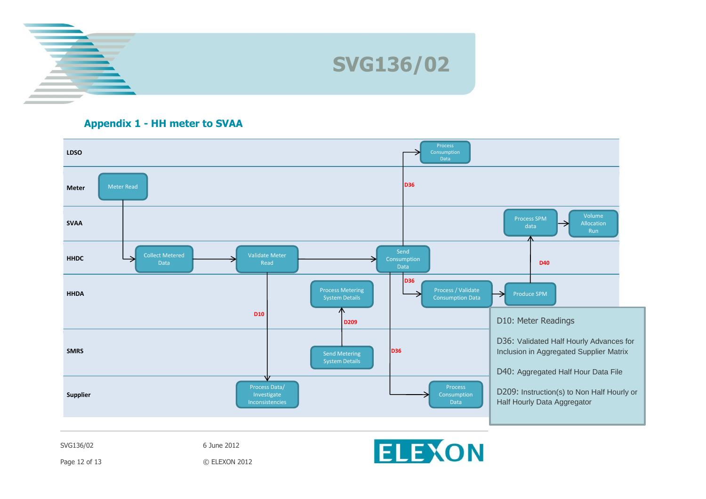

### **Appendix 1 - HH meter to SVAA**



SVG136/02 6 June 2012

Page 12 of 13 © ELEXON 2012